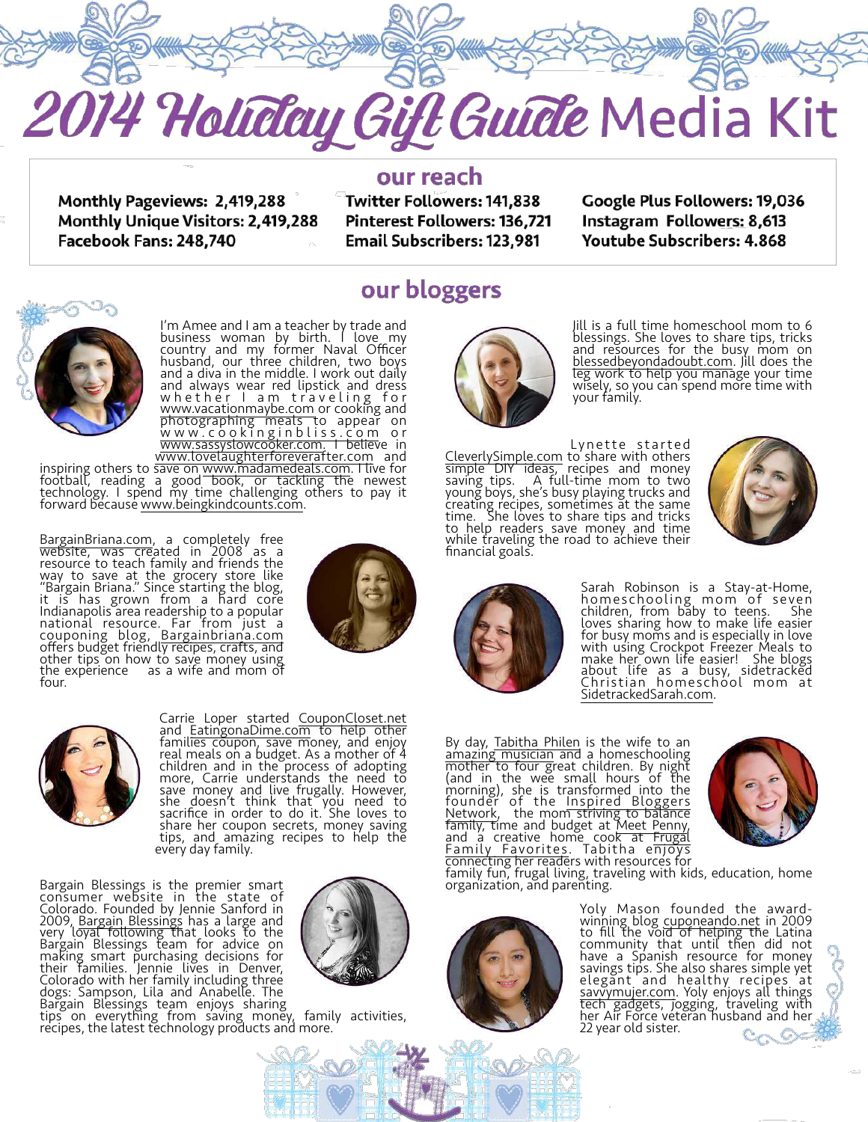

**Monthly Pageviews: 2,419,288** Monthly Unique Visitors: 2,419,288 Facebook Fans: 248,740

our reach

Twitter Followers: 141,838 **Pinterest Followers: 136,721 Email Subscribers: 123,981** 

Google Plus Followers: 19,036 Instagram Followers: 8,613 **Youtube Subscribers: 4.868** 



I'm Amee and I am a teacher by trade and business woman by birth. I love my country and my former Naval Officer husband, our three children, two boys and a diva in the middle. I work out daily and always wear red lipstick and dress w h e th er I a m traveling for [www.vacationmaybe.com](http://www.vacationmaybe.com) or cooking and photographing meals to appear on [www.cookinginbliss.com](http://www.cookinginbliss.com) o r [www.sassyslowcooker.com.](http://www.sassyslowcooker.com) I believe in [www.lovelaughterforeverafter.com](http://www.lovelaughterforeverafter.com) and

inspiring others to save on [www.madamedeals.com](http://www.madamedeals.com). I live for football, reading a good book, or tackling the newest technology. I spend my time challenging others to pay it forward because [www.beingkindcounts.com.](http://www.beingkindcounts.com)

[BargainBriana.com](http://bargainbriana.com), a completely free website, was created in 2008 as a resource to teach family and friends the way to save at the grocery store like "Bargain Briana." Since starting the blog, it is has grown from a hard core Indianapolis area readership to a popular national resource. Far from just a couponing blog, [Bargainbriana.com](http://bargainbriana.com) offers budget friendly recipes, crafts, and other tips on how to save money using the experience as a wife and mom of four.





Carrie Loper started [CouponCloset.net](http://CouponCloset.net)  and [EatingonaDime.com](http://EatingonaDime.com) to help other families coupon, save money, and enjoy real meals on a budget. As a mother of 4 children and in the process of adopting more, Carrie understands the need to save money and live frugally. However, she doesn't think that you need to sacrifice in order to do it. She loves to share her coupon secrets, money saving tips, and amazing recipes to help the everý day family.

Bargain Blessings is the premier smart consumer website in the state of Colorado. Founded by Jennie Sanford in 2009, [Bargain Blessings](http://www.bargainblessings.com) has a large and very loyal following that looks to the Bargain Blessings team for advice on making smart purchasing decisions for their families. Jennie lives in Denver, Colorado with her family including three dogs: Sampson, Lila and Anabelle. The Bargain Blessings team enjoys sharing





## our bloggers



Jill is a full time homeschool mom to 6 blessings. She loves to share tips, tricks and resources for the busy mom on [blessedbeyondadoubt.com](http://blessedbeyondadoubt.com). Jill does the leg work to help you manage your time wisely, so you can spend more time with your family.

Lynette started [CleverlySimple.com](http://CleverlySimple.com) to share with others simple DIY ideas, recipes and money saving tips. A full-time mom to two young boys, she's busy playing trucks and creating recipes, sometimes at the same time. She loves to share tips and tricks to help readers save money and time while traveling the road to achieve their financial goals.





Sarah Robinson is a Stay-at-Home, homeschooling mom of seven children, from baby to teens. She loves sharing how to make life easier for busy moms and is especially in love with using Crockpot Freezer Meals to make her own life easier! She blogs about life as a busy, sidetracked Christian homeschool mom at [SidetrackedSarah.com](http://SidetrackedSarah.com).

By day, [Tabitha Philen](http://www.tabithaphilen.com/) is the wife to an [amazing musician](http://www.shanephilen.com/) and a homeschooling mother to four great children. By night (and in the wee small hours of the morning), she is transformed into the [founder of the Inspired Bloggers](http://www.inspiredbloggersnetwork.com/) Network, the mom striving to balance family, time and budget at [Meet Penny,](http://www.meetpenny.com/) [and a creative home cook at Frugal](http://www.frugalfamilyfavorites.com/) Family Favorites. Tabitha e<del>njoys</del> connecting her readers with resources for



family fun, frugal living, traveling with kids, education, home organization, and parenting.



Yoly Mason founded the awardwinning blog [cuponeando.net](http://cuponeando.net) in 2009 to fill the void of helping the Latina community that until then did not have a Spanish resource for money savings tips. She also shares simple yet elegant and healthy recipes at [savvymujer.com.](http://savvymujer.com) Yoly enjoys all things tech gadgets, jogging, traveling with her Air Force veteran husband and her 22 year old sister. $\mathbb{C}_{C}$